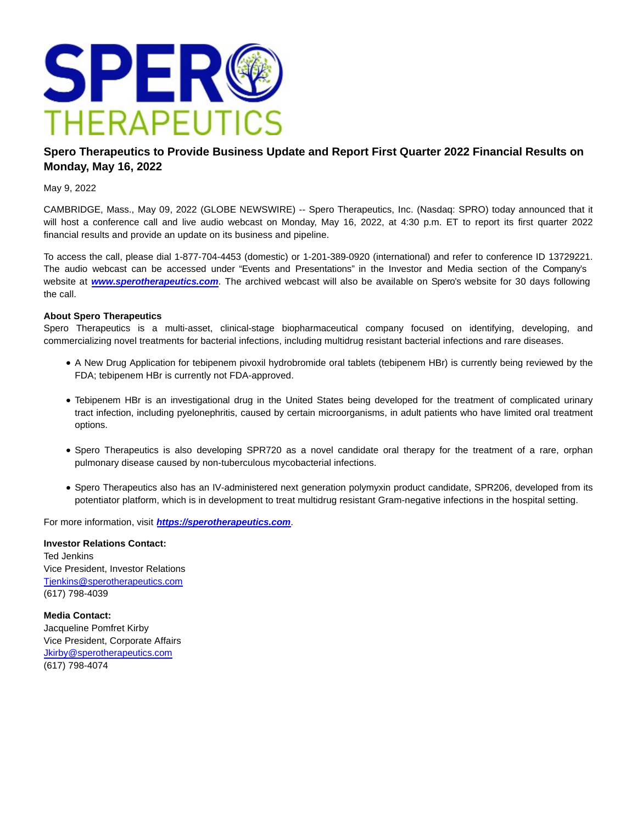

## **Spero Therapeutics to Provide Business Update and Report First Quarter 2022 Financial Results on Monday, May 16, 2022**

May 9, 2022

CAMBRIDGE, Mass., May 09, 2022 (GLOBE NEWSWIRE) -- Spero Therapeutics, Inc. (Nasdaq: SPRO) today announced that it will host a conference call and live audio webcast on Monday, May 16, 2022, at 4:30 p.m. ET to report its first quarter 2022 financial results and provide an update on its business and pipeline.

To access the call, please dial 1-877-704-4453 (domestic) or 1-201-389-0920 (international) and refer to conference ID 13729221. The audio webcast can be accessed under "Events and Presentations" in the Investor and Media section of the Company's website at **[www.sperotherapeutics.com](https://www.globenewswire.com/Tracker?data=MQCW5a5-RAsJID43w4DDV-iTyQ8Q9T4MV2cZurgBBguLnjWyk3IieLlNC4_t3130JNe338vR3bbiScxjDYJCV0eB6N_5h4HuXynm1zznW8F5DG49OhtD1WeqHCR1sGOSK7SvwLoUnV1ZTv2p5Ioeu8m3Dc3LUVzXxdmOFmM2nlddiS-p9klyFvwHGp6wKO3jyt-Vstbg9XExWOSqUcgyjdPVOh31YFWq9f2r2QhsPJPOZbvmwozhBPiNwhWD08gGXBrJ078Yia9Ho0GheL-LfSAvbOYfzDtjeKoYkDvHd8wLSwsVvwsgpEB9n1L1d-NR7wFtMLPyuewSxKV2R16fe67UjqVKvbyjB2pKr81RCeTEnZEFhh7nQ_tOHOtuUGIn5un__-x_zPztZEyj8-kN7SOrx9NQsJie41E_7BkzpH5DyZKLMV9TZ_iLbb2N8--3lOo9N2jMI4t8ExVp5fvCDyTRTjs1YAYdqKVzgDQack8vklJ0-jiNuRX3IT6oB70W)**. The archived webcast will also be available on Spero's website for 30 days following the call.

## **About Spero Therapeutics**

Spero Therapeutics is a multi-asset, clinical-stage biopharmaceutical company focused on identifying, developing, and commercializing novel treatments for bacterial infections, including multidrug resistant bacterial infections and rare diseases.

- A New Drug Application for tebipenem pivoxil hydrobromide oral tablets (tebipenem HBr) is currently being reviewed by the FDA; tebipenem HBr is currently not FDA-approved.
- Tebipenem HBr is an investigational drug in the United States being developed for the treatment of complicated urinary tract infection, including pyelonephritis, caused by certain microorganisms, in adult patients who have limited oral treatment options.
- Spero Therapeutics is also developing SPR720 as a novel candidate oral therapy for the treatment of a rare, orphan pulmonary disease caused by non-tuberculous mycobacterial infections.
- Spero Therapeutics also has an IV-administered next generation polymyxin product candidate, SPR206, developed from its potentiator platform, which is in development to treat multidrug resistant Gram-negative infections in the hospital setting.

For more information, visit **[https://sperotherapeutics.com](https://www.globenewswire.com/Tracker?data=7xBRHEWhbjwEr2w7E2L3fWlr-V2XqevkRQ1Y0WJtGHPYMW9GOAGuwWRE79IVNld5CUr8pm2fSU6ObmXI4_7tehn8yTMnifanqlJpHiMKTgA67XkjtOVbXe9_tHkepoZnwpZV9oJMLDVM512xkKpEiq-WM2lXar4a48bCQ4BsSjESnMK7Aw6ryfBLtjCuSNNQZGK0EPCSRyKKxDdnWrOvNyIydGQunrs4Od8s9jRSf_VxzEDWQoUOu-ovSLyQnhzySJQwqrl2CnB5pFIsXgXjOQ==)**.

**Investor Relations Contact:** Ted Jenkins Vice President, Investor Relations [Tjenkins@sperotherapeutics.com](https://www.globenewswire.com/Tracker?data=zcVVbD15h1n4RdEYynty6diG259P53S4h5f2GRZGTh2yK1YDaNUypEZqmaih4WsHIcMAMwbDFzAb8igyugg1mscEm1l7ytTFu9HT1wSkNN2Ztg8yjaBWneqA4tSBG59P) (617) 798-4039

**Media Contact:** Jacqueline Pomfret Kirby Vice President, Corporate Affairs [Jkirby@sperotherapeutics.com](https://www.globenewswire.com/Tracker?data=ssEBO5GMJdE6y4UkTsAdcwnz9JJBuLRahbB9quvLnEblRE_5UNwbuxW6WETagbOnrsbh5FwrdDqltuFQJix2WNgyUn9nlVyiKk6TIAhFrEHun8Rgul5r373lz3SaNlml) (617) 798-4074